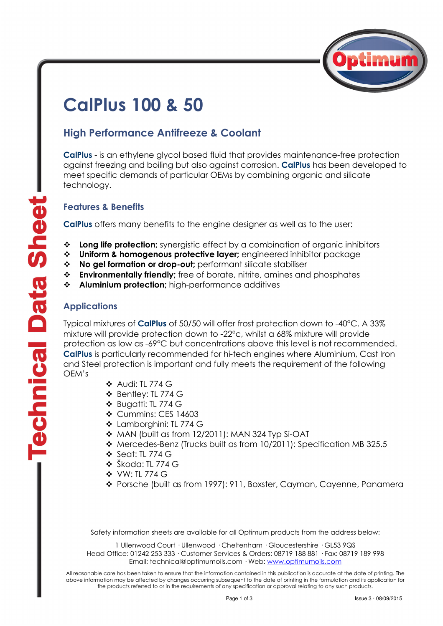

# CalPlus 100 & 50

## High Performance Antifreeze & Coolant

CalPlus - is an ethylene glycol based fluid that provides maintenance-free protection against freezing and boiling but also against corrosion. CalPlus has been developed to meet specific demands of particular OEMs by combining organic and silicate technology.

### Features & Benefits

CalPlus offers many benefits to the engine designer as well as to the user:

- **↓** Long life protection; synergistic effect by a combination of organic inhibitors
- Uniform & homogenous protective layer; engineered inhibitor package
- \* No gel formation or drop-out; performant silicate stabiliser
- $\cdot \cdot$  Environmentally friendly; free of borate, nitrite, amines and phosphates
- \* Aluminium protection; high-performance additives

### **Applications**

Typical mixtures of CalPlus of 50/50 will offer frost protection down to -40°C. A 33% mixture will provide protection down to -22°c, whilst a 68% mixture will provide protection as low as -69°C but concentrations above this level is not recommended. CalPlus is particularly recommended for hi-tech engines where Aluminium, Cast Iron and Steel protection is important and fully meets the requirement of the following OEM's

- Audi: TL 774 G
- Bentley: TL 774 G
- Bugatti: TL 774 G
- **❖ Cummins: CES 14603**
- Lamborghini: TL 774 G
- ◆ MAN (built as from 12/2011): MAN 324 Typ Si-OAT
- Mercedes-Benz (Trucks built as from 10/2011): Specification MB 325.5
- Seat: TL 774 G
- **❖** Škoda: TL 774 G
- VW: TL 774 G
- Porsche (built as from 1997): 911, Boxster, Cayman, Cayenne, Panamera

Safety information sheets are available for all Optimum products from the address below:

1 Ullenwood Court · Ullenwood · Cheltenham · Gloucestershire · GL53 9QS Head Office: 01242 253 333 · Customer Services & Orders: 08719 188 881 · Fax: 08719 189 998 Email: technical@optimumoils.com · Web: www.optimumoils.com

All reasonable care has been taken to ensure that the information contained in this publication is accurate at the date of printing. The above information may be affected by changes occurring subsequent to the date of printing in the formulation and its application for the products referred to or in the requirements of any specification or approval relating to any such products.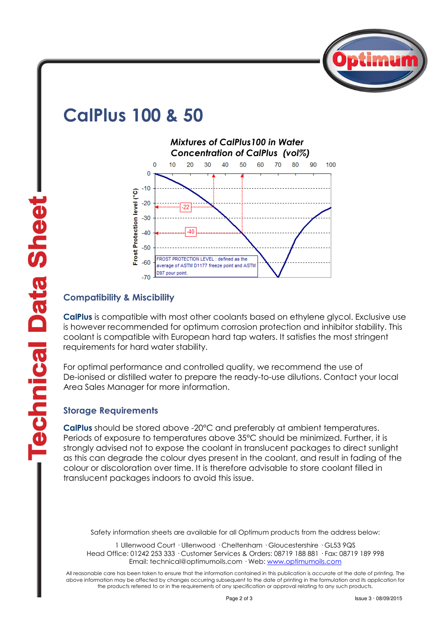

## CalPlus 100 & 50



## Compatibility & Miscibility

CalPlus is compatible with most other coolants based on ethylene glycol. Exclusive use is however recommended for optimum corrosion protection and inhibitor stability. This coolant is compatible with European hard tap waters. It satisfies the most stringent requirements for hard water stability.

For optimal performance and controlled quality, we recommend the use of De-ionised or distilled water to prepare the ready-to-use dilutions. Contact your local Area Sales Manager for more information.

## Storage Requirements

CalPlus should be stored above -20°C and preferably at ambient temperatures. Periods of exposure to temperatures above 35°C should be minimized. Further, it is strongly advised not to expose the coolant in translucent packages to direct sunlight as this can degrade the colour dyes present in the coolant, and result in fading of the colour or discoloration over time. It is therefore advisable to store coolant filled in translucent packages indoors to avoid this issue.

Safety information sheets are available for all Optimum products from the address below:

1 Ullenwood Court · Ullenwood · Cheltenham · Gloucestershire · GL53 9QS Head Office: 01242 253 333 · Customer Services & Orders: 08719 188 881 · Fax: 08719 189 998 Email: technical@optimumoils.com · Web: www.optimumoils.com

All reasonable care has been taken to ensure that the information contained in this publication is accurate at the date of printing. The above information may be affected by changes occurring subsequent to the date of printing in the formulation and its application for the products referred to or in the requirements of any specification or approval relating to any such products.